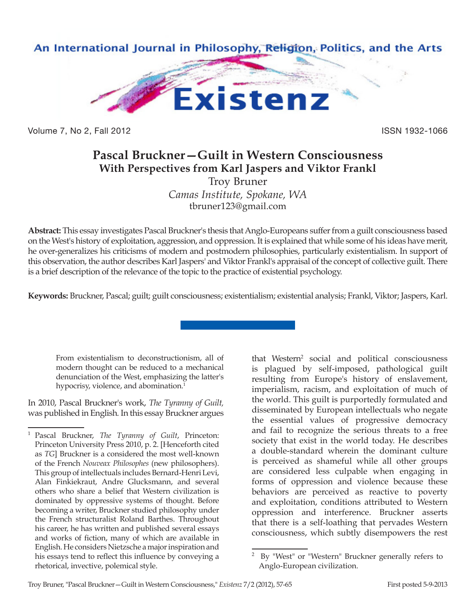

Volume 7, No 2, Fall 2012 **ISSN 1932-1066** 

# **Pascal Bruckner—Guilt in Western Consciousness With Perspectives from Karl Jaspers and Viktor Frankl**

Troy Bruner *Camas Institute, Spokane, WA* tbruner123@gmail.com

**Abstract:** This essay investigates Pascal Bruckner's thesis that Anglo-Europeans suffer from a guilt consciousness based on the West's history of exploitation, aggression, and oppression. It is explained that while some of his ideas have merit, he over-generalizes his criticisms of modern and postmodern philosophies, particularly existentialism. In support of this observation, the author describes Karl Jaspers' and Viktor Frankl's appraisal of the concept of collective guilt. There is a brief description of the relevance of the topic to the practice of existential psychology.

**Keywords:** Bruckner, Pascal; guilt; guilt consciousness; existentialism; existential analysis; Frankl, Viktor; Jaspers, Karl.

From existentialism to deconstructionism, all of modern thought can be reduced to a mechanical denunciation of the West, emphasizing the latter's hypocrisy, violence, and abomination.<sup>1</sup>

In 2010, Pascal Bruckner's work, *The Tyranny of Guilt,*  was published in English*.* In this essay Bruckner argues that Western<sup>2</sup> social and political consciousness is plagued by self-imposed, pathological guilt resulting from Europe's history of enslavement, imperialism, racism, and exploitation of much of the world. This guilt is purportedly formulated and disseminated by European intellectuals who negate the essential values of progressive democracy and fail to recognize the serious threats to a free society that exist in the world today. He describes a double-standard wherein the dominant culture is perceived as shameful while all other groups are considered less culpable when engaging in forms of oppression and violence because these behaviors are perceived as reactive to poverty and exploitation, conditions attributed to Western oppression and interference. Bruckner asserts that there is a self-loathing that pervades Western consciousness, which subtly disempowers the rest

<sup>1</sup> Pascal Bruckner, *The Tyranny of Guilt*, Princeton: Princeton University Press 2010, p. 2. [Henceforth cited as *TG*] Bruckner is a considered the most well-known of the French *Nouveax Philosophes* (new philosophers). This group of intellectuals includes Bernard-Henri Levi, Alan Finkiekraut, Andre Glucksmann, and several others who share a belief that Western civilization is dominated by oppressive systems of thought. Before becoming a writer, Bruckner studied philosophy under the French structuralist Roland Barthes. Throughout his career, he has written and published several essays and works of fiction, many of which are available in English. He considers Nietzsche a major inspiration and his essays tend to reflect this influence by conveying a rhetorical, invective, polemical style.

By "West" or "Western" Bruckner generally refers to Anglo-European civilization.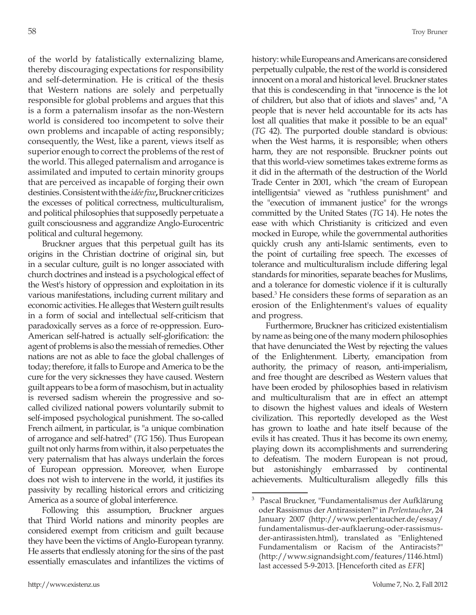of the world by fatalistically externalizing blame, thereby discouraging expectations for responsibility and self-determination. He is critical of the thesis that Western nations are solely and perpetually responsible for global problems and argues that this is a form a paternalism insofar as the non-Western world is considered too incompetent to solve their own problems and incapable of acting responsibly; consequently, the West, like a parent, views itself as superior enough to correct the problems of the rest of the world. This alleged paternalism and arrogance is assimilated and imputed to certain minority groups that are perceived as incapable of forging their own destinies. Consistent with the *idée fixe***,** Bruckner criticizes the excesses of political correctness, multiculturalism, and political philosophies that supposedly perpetuate a guilt consciousness and aggrandize Anglo-Eurocentric political and cultural hegemony.

Bruckner argues that this perpetual guilt has its origins in the Christian doctrine of original sin, but in a secular culture, guilt is no longer associated with church doctrines and instead is a psychological effect of the West's history of oppression and exploitation in its various manifestations, including current military and economic activities. He alleges that Western guilt results in a form of social and intellectual self-criticism that paradoxically serves as a force of re-oppression. Euro-American self-hatred is actually self-glorification: the agent of problems is also the messiah of remedies. Other nations are not as able to face the global challenges of today; therefore, it falls to Europe and America to be the cure for the very sicknesses they have caused. Western guilt appears to be a form of masochism, but in actuality is reversed sadism wherein the progressive and socalled civilized national powers voluntarily submit to self-imposed psychological punishment. The so-called French ailment, in particular, is "a unique combination of arrogance and self-hatred" (*TG* 156). Thus European guilt not only harms from within, it also perpetuates the very paternalism that has always underlain the forces of European oppression. Moreover, when Europe does not wish to intervene in the world, it justifies its passivity by recalling historical errors and criticizing America as a source of global interference.

Following this assumption, Bruckner argues that Third World nations and minority peoples are considered exempt from criticism and guilt because they have been the victims of Anglo-European tyranny. He asserts that endlessly atoning for the sins of the past essentially emasculates and infantilizes the victims of history: while Europeans and Americans are considered perpetually culpable, the rest of the world is considered innocent on a moral and historical level. Bruckner states that this is condescending in that "innocence is the lot of children, but also that of idiots and slaves" and, "A people that is never held accountable for its acts has lost all qualities that make it possible to be an equal" (*TG* 42). The purported double standard is obvious: when the West harms, it is responsible; when others harm, they are not responsible. Bruckner points out that this world-view sometimes takes extreme forms as it did in the aftermath of the destruction of the World Trade Center in 2001, which "the cream of European intelligentsia" viewed as "ruthless punishment" and the "execution of immanent justice" for the wrongs committed by the United States (*TG* 14). He notes the ease with which Christianity is criticized and even mocked in Europe, while the governmental authorities quickly crush any anti-Islamic sentiments, even to the point of curtailing free speech. The excesses of tolerance and multiculturalism include differing legal standards for minorities, separate beaches for Muslims, and a tolerance for domestic violence if it is culturally based.3 He considers these forms of separation as an erosion of the Enlightenment's values of equality and progress.

Furthermore, Bruckner has criticized existentialism by name as being one of the many modern philosophies that have denunciated the West by rejecting the values of the Enlightenment. Liberty, emancipation from authority, the primacy of reason, anti-imperialism, and free thought are described as Western values that have been eroded by philosophies based in relativism and multiculturalism that are in effect an attempt to disown the highest values and ideals of Western civilization. This reportedly developed as the West has grown to loathe and hate itself because of the evils it has created. Thus it has become its own enemy, playing down its accomplishments and surrendering to defeatism. The modern European is not proud, but astonishingly embarrassed by continental achievements. Multiculturalism allegedly fills this

<sup>3</sup> Pascal Bruckner, "Fundamentalismus der Aufklärung oder Rassismus der Antirassisten?" in *Perlentaucher*, 24 January 2007 (http://www.perlentaucher.de/essay/ fundamentalismus-der-aufklaerung-oder-rassismusder-antirassisten.html), translated as "Enlightened Fundamentalism or Racism of the Antiracists?" (http://www.signandsight.com/features/1146.html) last accessed 5-9-2013. [Henceforth cited as *EFR*]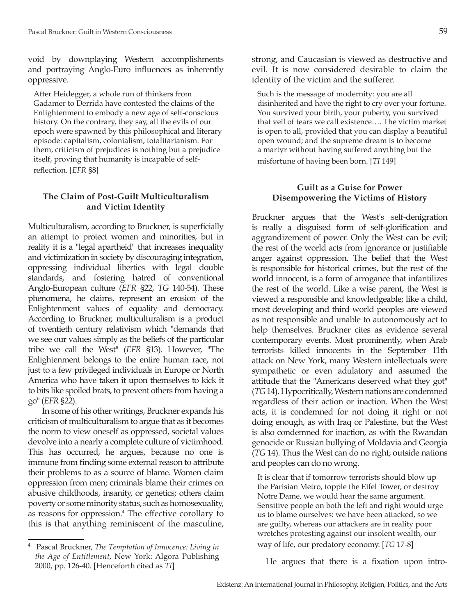void by downplaying Western accomplishments and portraying Anglo-Euro influences as inherently oppressive.

After Heidegger, a whole run of thinkers from Gadamer to Derrida have contested the claims of the Enlightenment to embody a new age of self-conscious history. On the contrary, they say, all the evils of our epoch were spawned by this philosophical and literary episode: capitalism, colonialism, totalitarianism. For them, criticism of prejudices is nothing but a prejudice itself, proving that humanity is incapable of selfreflection. [*EFR* §8]

# **The Claim of Post-Guilt Multiculturalism and Victim Identity**

Multiculturalism, according to Bruckner, is superficially an attempt to protect women and minorities, but in reality it is a "legal apartheid" that increases inequality and victimization in society by discouraging integration, oppressing individual liberties with legal double standards, and fostering hatred of conventional Anglo-European culture (*EFR* §22, *TG* 140-54). These phenomena, he claims, represent an erosion of the Enlightenment values of equality and democracy. According to Bruckner, multiculturalism is a product of twentieth century relativism which "demands that we see our values simply as the beliefs of the particular tribe we call the West" (*EFR* §13). However, "The Enlightenment belongs to the entire human race, not just to a few privileged individuals in Europe or North America who have taken it upon themselves to kick it to bits like spoiled brats, to prevent others from having a go" (*EFR* §22).

In some of his other writings, Bruckner expands his criticism of multiculturalism to argue that as it becomes the norm to view oneself as oppressed, societal values devolve into a nearly a complete culture of victimhood. This has occurred, he argues, because no one is immune from finding some external reason to attribute their problems to as a source of blame. Women claim oppression from men; criminals blame their crimes on abusive childhoods, insanity, or genetics; others claim poverty or some minority status, such as homosexuality, as reasons for oppression.<sup>4</sup> The effective corollary to this is that anything reminiscent of the masculine,

strong, and Caucasian is viewed as destructive and evil. It is now considered desirable to claim the identity of the victim and the sufferer.

Such is the message of modernity: you are all disinherited and have the right to cry over your fortune. You survived your birth, your puberty, you survived that veil of tears we call existence…. The victim market is open to all, provided that you can display a beautiful open wound; and the supreme dream is to become a martyr without having suffered anything but the misfortune of having been born. [*TI* 149]

# **Guilt as a Guise for Power Disempowering the Victims of History**

Bruckner argues that the West's self-denigration is really a disguised form of self-glorification and aggrandizement of power. Only the West can be evil; the rest of the world acts from ignorance or justifiable anger against oppression. The belief that the West is responsible for historical crimes, but the rest of the world innocent, is a form of arrogance that infantilizes the rest of the world. Like a wise parent, the West is viewed a responsible and knowledgeable; like a child, most developing and third world peoples are viewed as not responsible and unable to autonomously act to help themselves. Bruckner cites as evidence several contemporary events. Most prominently, when Arab terrorists killed innocents in the September 11th attack on New York, many Western intellectuals were sympathetic or even adulatory and assumed the attitude that the "Americans deserved what they got" (*TG* 14). Hypocritically, Western nations are condemned regardless of their action or inaction. When the West acts, it is condemned for not doing it right or not doing enough, as with Iraq or Palestine, but the West is also condemned for inaction, as with the Rwandan genocide or Russian bullying of Moldavia and Georgia (*TG* 14). Thus the West can do no right; outside nations and peoples can do no wrong.

It is clear that if tomorrow terrorists should blow up the Parisian Metro, topple the Eifel Tower, or destroy Notre Dame, we would hear the same argument. Sensitive people on both the left and right would urge us to blame ourselves: we have been attacked, so we are guilty, whereas our attackers are in reality poor wretches protesting against our insolent wealth, our way of life, our predatory economy. [*TG* 17-8]

He argues that there is a fixation upon intro-

<sup>4</sup> Pascal Bruckner, *The Temptation of Innocence: Living in the Age of Entitlement*, New York: Algora Publishing 2000, pp. 126-40. [Henceforth cited as *TI*]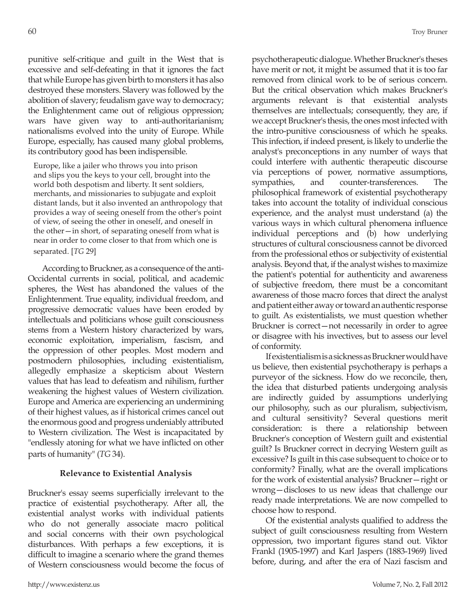punitive self-critique and guilt in the West that is excessive and self-defeating in that it ignores the fact that while Europe has given birth to monsters it has also destroyed these monsters. Slavery was followed by the abolition of slavery; feudalism gave way to democracy; the Enlightenment came out of religious oppression; wars have given way to anti-authoritarianism; nationalisms evolved into the unity of Europe. While Europe, especially, has caused many global problems, its contributory good has been indispensible.

Europe, like a jailer who throws you into prison and slips you the keys to your cell, brought into the world both despotism and liberty. It sent soldiers, merchants, and missionaries to subjugate and exploit distant lands, but it also invented an anthropology that provides a way of seeing oneself from the other's point of view, of seeing the other in oneself, and oneself in the other—in short, of separating oneself from what is near in order to come closer to that from which one is separated. [*TG* 29]

According to Bruckner, as a consequence of the anti-Occidental currents in social, political, and academic spheres, the West has abandoned the values of the Enlightenment. True equality, individual freedom, and progressive democratic values have been eroded by intellectuals and politicians whose guilt consciousness stems from a Western history characterized by wars, economic exploitation, imperialism, fascism, and the oppression of other peoples. Most modern and postmodern philosophies, including existentialism, allegedly emphasize a skepticism about Western values that has lead to defeatism and nihilism, further weakening the highest values of Western civilization. Europe and America are experiencing an undermining of their highest values, as if historical crimes cancel out the enormous good and progress undeniably attributed to Western civilization. The West is incapacitated by "endlessly atoning for what we have inflicted on other parts of humanity" (*TG* 34).

### **Relevance to Existential Analysis**

Bruckner's essay seems superficially irrelevant to the practice of existential psychotherapy. After all, the existential analyst works with individual patients who do not generally associate macro political and social concerns with their own psychological disturbances. With perhaps a few exceptions, it is difficult to imagine a scenario where the grand themes of Western consciousness would become the focus of psychotherapeutic dialogue. Whether Bruckner's theses have merit or not, it might be assumed that it is too far removed from clinical work to be of serious concern. But the critical observation which makes Bruckner's arguments relevant is that existential analysts themselves are intellectuals; consequently, they are, if we accept Bruckner's thesis, the ones most infected with the intro-punitive consciousness of which he speaks. This infection, if indeed present, is likely to underlie the analyst's preconceptions in any number of ways that could interfere with authentic therapeutic discourse via perceptions of power, normative assumptions, sympathies, and counter-transferences. The philosophical framework of existential psychotherapy takes into account the totality of individual conscious experience, and the analyst must understand (a) the various ways in which cultural phenomena influence individual perceptions and (b) how underlying structures of cultural consciousness cannot be divorced from the professional ethos or subjectivity of existential analysis. Beyond that, if the analyst wishes to maximize the patient's potential for authenticity and awareness of subjective freedom, there must be a concomitant awareness of those macro forces that direct the analyst and patient either away or toward an authentic response to guilt. As existentialists, we must question whether Bruckner is correct—not necessarily in order to agree or disagree with his invectives, but to assess our level of conformity.

If existentialism is a sickness as Bruckner would have us believe, then existential psychotherapy is perhaps a purveyor of the sickness. How do we reconcile, then, the idea that disturbed patients undergoing analysis are indirectly guided by assumptions underlying our philosophy, such as our pluralism, subjectivism, and cultural sensitivity? Several questions merit consideration: is there a relationship between Bruckner's conception of Western guilt and existential guilt? Is Bruckner correct in decrying Western guilt as excessive? Is guilt in this case subsequent to choice or to conformity? Finally, what are the overall implications for the work of existential analysis? Bruckner—right or wrong—discloses to us new ideas that challenge our ready made interpretations. We are now compelled to choose how to respond.

Of the existential analysts qualified to address the subject of guilt consciousness resulting from Western oppression, two important figures stand out. Viktor Frankl (1905-1997) and Karl Jaspers (1883-1969) lived before, during, and after the era of Nazi fascism and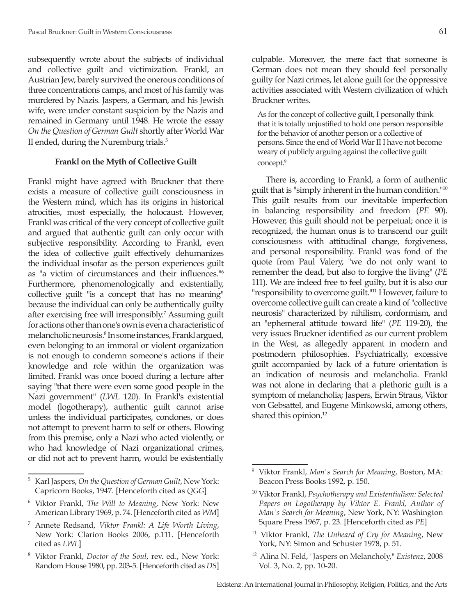subsequently wrote about the subjects of individual and collective guilt and victimization. Frankl, an Austrian Jew, barely survived the onerous conditions of three concentrations camps, and most of his family was murdered by Nazis. Jaspers, a German, and his Jewish wife, were under constant suspicion by the Nazis and remained in Germany until 1948. He wrote the essay *On the Question of German Guilt* shortly after World War II ended, during the Nuremburg trials.5

## **Frankl on the Myth of Collective Guilt**

Frankl might have agreed with Bruckner that there exists a measure of collective guilt consciousness in the Western mind, which has its origins in historical atrocities, most especially, the holocaust. However, Frankl was critical of the very concept of collective guilt and argued that authentic guilt can only occur with subjective responsibility. According to Frankl, even the idea of collective guilt effectively dehumanizes the individual insofar as the person experiences guilt as "a victim of circumstances and their influences."<sup>6</sup> Furthermore, phenomenologically and existentially, collective guilt "is a concept that has no meaning" because the individual can only be authentically guilty after exercising free will irresponsibly.7 Assuming guilt for actions other than one's own is even a characteristic of melancholic neurosis.<sup>8</sup> In some instances, Frankl argued, even belonging to an immoral or violent organization is not enough to condemn someone's actions if their knowledge and role within the organization was limited. Frankl was once booed during a lecture after saying "that there were even some good people in the Nazi government" (*LWL* 120). In Frankl's existential model (logotherapy), authentic guilt cannot arise unless the individual participates, condones, or does not attempt to prevent harm to self or others. Flowing from this premise, only a Nazi who acted violently, or who had knowledge of Nazi organizational crimes, or did not act to prevent harm, would be existentially

As for the concept of collective guilt, I personally think that it is totally unjustified to hold one person responsible for the behavior of another person or a collective of persons. Since the end of World War II I have not become weary of publicly arguing against the collective guilt concept.9

Bruckner writes.

There is, according to Frankl, a form of authentic guilt that is "simply inherent in the human condition."10 This guilt results from our inevitable imperfection in balancing responsibility and freedom (*PE* 90). However, this guilt should not be perpetual; once it is recognized, the human onus is to transcend our guilt consciousness with attitudinal change, forgiveness, and personal responsibility. Frankl was fond of the quote from Paul Valery, "we do not only want to remember the dead, but also to forgive the living" (*PE* 111). We are indeed free to feel guilty, but it is also our "responsibility to overcome guilt."11 However, failure to overcome collective guilt can create a kind of "collective neurosis" characterized by nihilism, conformism, and an "ephemeral attitude toward life" (*PE* 119-20), the very issues Bruckner identified as our current problem in the West, as allegedly apparent in modern and postmodern philosophies. Psychiatrically, excessive guilt accompanied by lack of a future orientation is an indication of neurosis and melancholia. Frankl was not alone in declaring that a plethoric guilt is a symptom of melancholia; Jaspers, Erwin Straus, Viktor von Gebsattel, and Eugene Minkowski, among others, shared this opinion.<sup>12</sup>

<sup>5</sup> Karl Jaspers, *On the Question of German Guilt*, New York: Capricorn Books, 1947. [Henceforth cited as *QGG*]

<sup>6</sup> Viktor Frankl, *The Will to Meaning*, New York: New American Library 1969, p. 74. [Henceforth cited as *WM*]

<sup>7</sup> Annete Redsand, *Viktor Frankl: A Life Worth Living*, New York: Clarion Books 2006, p.111. [Henceforth cited as *LWL*]

<sup>8</sup> Viktor Frankl, *Doctor of the Soul*, rev. ed., New York: Random House 1980, pp. 203-5. [Henceforth cited as *DS*]

<sup>9</sup> Viktor Frankl, *Man's Search for Meaning*, Boston, MA: Beacon Press Books 1992, p. 150.

<sup>10</sup> Viktor Frankl, *Psychotherapy and Existentialism: Selected Papers on Logotherapy by Viktor E. Frankl, Author of Man's Search for Meaning*, New York, NY: Washington Square Press 1967, p. 23. [Henceforth cited as *PE*]

<sup>11</sup> Viktor Frankl, *The Unheard of Cry for Meaning*, New York, NY: Simon and Schuster 1978, p. 51.

<sup>12</sup> Alina N. Feld, "Jaspers on Melancholy," *Existenz*, 2008 Vol. 3, No. 2, pp. 10-20.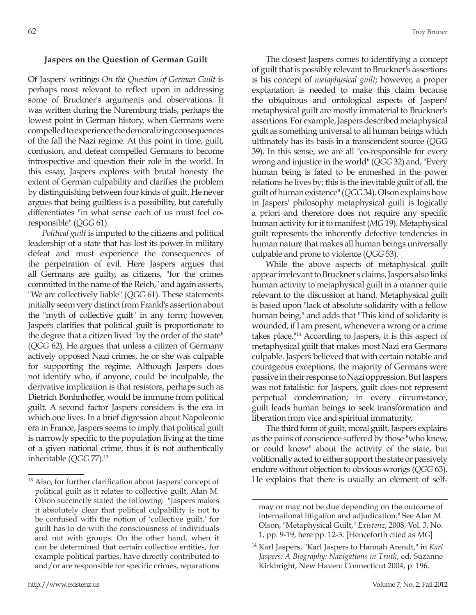# **Jaspers on the Question of German Guilt**

Of Jaspers' writings *On the Question of German Guilt* is perhaps most relevant to reflect upon in addressing some of Bruckner's arguments and observations. It was written during the Nuremburg trials, perhaps the lowest point in German history, when Germans were compelled to experience the demoralizing consequences of the fall the Nazi regime. At this point in time, guilt, confusion, and defeat compelled Germans to become introspective and question their role in the world. In this essay, Jaspers explores with brutal honesty the extent of German culpability and clarifies the problem by distinguishing between four kinds of guilt. He never argues that being guiltless is a possibility, but carefully differentiates "in what sense each of us must feel coresponsible" (*QGG* 61).

*Political guilt* is imputed to the citizens and political leadership of a state that has lost its power in military defeat and must experience the consequences of the perpetration of evil. Here Jaspers argues that all Germans are guilty, as citizens, "for the crimes committed in the name of the Reich," and again asserts, "We are collectively liable" (*QGG* 61). These statements initially seem very distinct from Frankl's assertion about the "myth of collective guilt" in any form; however, Jaspers clarifies that political guilt is proportionate to the degree that a citizen lived "by the order of the state" (*QGG* 62). He argues that unless a citizen of Germany actively opposed Nazi crimes, he or she was culpable for supporting the regime. Although Jaspers does not identify who, if anyone, could be inculpable, the derivative implication is that resistors, perhaps such as Dietrich Bonhnhoffer, would be immune from political guilt. A second factor Jaspers considers is the era in which one lives. In a brief digression about Napoleonic era in France, Jaspers seems to imply that political guilt is narrowly specific to the population living at the time of a given national crime, thus it is not authentically inheritable (*QGG* 77).13

The closest Jaspers comes to identifying a concept of guilt that is possibly relevant to Bruckner's assertions is his concept of *metaphysical guilt*; however, a proper explanation is needed to make this claim because the ubiquitous and ontological aspects of Jaspers' metaphysical guilt are mostly immaterial to Bruckner's assertions. For example, Jaspers described metaphysical guilt as something universal to all human beings which ultimately has its basis in a transcendent source (*QGG* 39). In this sense, we are all "co-responsible for every wrong and injustice in the world" (*QGG* 32) and, "Every human being is fated to be enmeshed in the power relations he lives by; this is the inevitable guilt of all, the guilt of human existence" (*QGG* 34). Olson explains how in Jaspers' philosophy metaphysical guilt is logically a priori and therefore does not require any specific human activity for it to manifest (*MG* 19). Metaphysical guilt represents the inherently defective tendencies in human nature that makes all human beings universally culpable and prone to violence (*QGG* 53).

While the above aspects of metaphysical guilt appear irrelevant to Bruckner's claims, Jaspers also links human activity to metaphysical guilt in a manner quite relevant to the discussion at hand. Metaphysical guilt is based upon "lack of absolute solidarity with a fellow human being," and adds that "This kind of solidarity is wounded, if I am present, whenever a wrong or a crime takes place."14 According to Jaspers, it is this aspect of metaphysical guilt that makes most Nazi era Germans culpable. Jaspers believed that with certain notable and courageous exceptions, the majority of Germans were passive in their response to Nazi oppression. But Jaspers was not fatalistic: for Jaspers, guilt does not represent perpetual condemnation; in every circumstance, guilt leads human beings to seek transformation and liberation from vice and spiritual immaturity.

The third form of guilt, moral guilt, Jaspers explains as the pains of conscience suffered by those "who knew, or could know" about the activity of the state, but volitionally acted to either support the state or passively endure without objection to obvious wrongs (*QGG* 63). He explains that there is usually an element of self-

<sup>13</sup> Also, for further clarification about Jaspers' concept of political guilt as it relates to collective guilt, Alan M. Olson succinctly stated the following: "Jaspers makes it absolutely clear that political culpability is not to be confused with the notion of 'collective guilt,' for guilt has to do with the consciousness of individuals and not with groups. On the other hand, when it can be determined that certain collective entities, for example political parties, have directly contributed to and/or are responsible for specific crimes, reparations

may or may not be due depending on the outcome of international litigation and adjudication." See Alan M. Olson, "Metaphysical Guilt," *Existenz*, 2008, Vol. 3, No. 1, pp. 9-19, here pp. 12-3. [Henceforth cited as *MG*]

<sup>14</sup> Karl Jaspers, "Karl Jaspers to Hannah Arendt," in *Karl Jaspers: A Biography: Navigations in Truth*, ed. Suzanne Kirkbright, New Haven: Connecticut 2004, p. 196.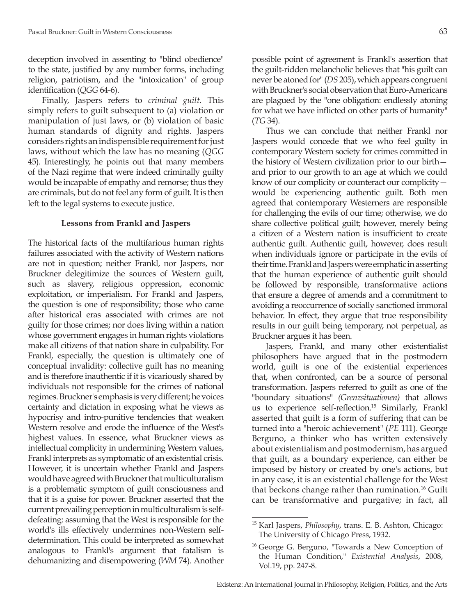deception involved in assenting to "blind obedience" to the state, justified by any number forms, including religion, patriotism, and the "intoxication" of group identification (*QGG* 64-6).

Finally, Jaspers refers to *criminal guilt.* This simply refers to guilt subsequent to (a) violation or manipulation of just laws, or (b) violation of basic human standards of dignity and rights. Jaspers considers rights an indispensible requirement for just laws, without which the law has no meaning (*QGG* 45). Interestingly, he points out that many members of the Nazi regime that were indeed criminally guilty would be incapable of empathy and remorse; thus they are criminals, but do not feel any form of guilt. It is then left to the legal systems to execute justice.

#### **Lessons from Frankl and Jaspers**

The historical facts of the multifarious human rights failures associated with the activity of Western nations are not in question; neither Frankl, nor Jaspers, nor Bruckner delegitimize the sources of Western guilt, such as slavery, religious oppression, economic exploitation, or imperialism. For Frankl and Jaspers, the question is one of responsibility; those who came after historical eras associated with crimes are not guilty for those crimes; nor does living within a nation whose government engages in human rights violations make all citizens of that nation share in culpability. For Frankl, especially, the question is ultimately one of conceptual invalidity: collective guilt has no meaning and is therefore inauthentic if it is vicariously shared by individuals not responsible for the crimes of national regimes. Bruckner's emphasis is very different; he voices certainty and dictation in exposing what he views as hypocrisy and intro-punitive tendencies that weaken Western resolve and erode the influence of the West's highest values. In essence, what Bruckner views as intellectual complicity in undermining Western values, Frankl interprets as symptomatic of an existential crisis. However, it is uncertain whether Frankl and Jaspers would have agreed with Bruckner that multiculturalism is a problematic symptom of guilt consciousness and that it is a guise for power. Bruckner asserted that the current prevailing perception in multiculturalism is selfdefeating: assuming that the West is responsible for the world's ills effectively undermines non-Western selfdetermination. This could be interpreted as somewhat analogous to Frankl's argument that fatalism is dehumanizing and disempowering (*WM* 74). Another

possible point of agreement is Frankl's assertion that the guilt-ridden melancholic believes that "his guilt can never be atoned for" (*DS* 205), which appears congruent with Bruckner's social observation that Euro-Americans are plagued by the "one obligation: endlessly atoning for what we have inflicted on other parts of humanity" (*TG* 34).

Thus we can conclude that neither Frankl nor Jaspers would concede that we who feel guilty in contemporary Western society for crimes committed in the history of Western civilization prior to our birth and prior to our growth to an age at which we could know of our complicity or counteract our complicity would be experiencing authentic guilt. Both men agreed that contemporary Westerners are responsible for challenging the evils of our time; otherwise, we do share collective political guilt; however, merely being a citizen of a Western nation is insufficient to create authentic guilt. Authentic guilt, however, does result when individuals ignore or participate in the evils of their time. Frankl and Jaspers were emphatic in asserting that the human experience of authentic guilt should be followed by responsible, transformative actions that ensure a degree of amends and a commitment to avoiding a reoccurrence of socially sanctioned immoral behavior. In effect, they argue that true responsibility results in our guilt being temporary, not perpetual, as Bruckner argues it has been.

Jaspers, Frankl, and many other existentialist philosophers have argued that in the postmodern world, guilt is one of the existential experiences that, when confronted, can be a source of personal transformation. Jaspers referred to guilt as one of the "boundary situations" *(Grenzsituationen)* that allows us to experience self-reflection.15 Similarly, Frankl asserted that guilt is a form of suffering that can be turned into a "heroic achievement" (*PE* 111). George Berguno, a thinker who has written extensively about existentialism and postmodernism, has argued that guilt, as a boundary experience, can either be imposed by history or created by one's actions, but in any case, it is an existential challenge for the West that beckons change rather than rumination.16 Guilt can be transformative and purgative; in fact, all

<sup>15</sup> Karl Jaspers, *Philosophy*, trans. E. B. Ashton, Chicago: The University of Chicago Press, 1932.

<sup>&</sup>lt;sup>16</sup> George G. Berguno, "Towards a New Conception of the Human Condition," *Existential Analysis*, 2008, Vol.19, pp. 247-8.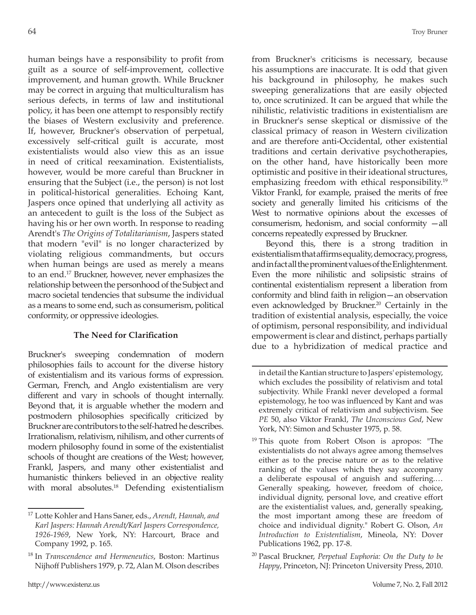human beings have a responsibility to profit from guilt as a source of self-improvement, collective improvement, and human growth. While Bruckner may be correct in arguing that multiculturalism has serious defects, in terms of law and institutional policy, it has been one attempt to responsibly rectify the biases of Western exclusivity and preference. If, however, Bruckner's observation of perpetual, excessively self-critical guilt is accurate, most existentialists would also view this as an issue in need of critical reexamination. Existentialists, however, would be more careful than Bruckner in ensuring that the Subject (i.e., the person) is not lost in political-historical generalities. Echoing Kant, Jaspers once opined that underlying all activity as an antecedent to guilt is the loss of the Subject as having his or her own worth. In response to reading Arendt's *The Origins of Totalitarianism*, Jaspers stated that modern "evil" is no longer characterized by violating religious commandments, but occurs when human beings are used as merely a means to an end.17 Bruckner, however, never emphasizes the relationship between the personhood of the Subject and macro societal tendencies that subsume the individual as a means to some end, such as consumerism, political conformity, or oppressive ideologies.

# **The Need for Clarification**

Bruckner's sweeping condemnation of modern philosophies fails to account for the diverse history of existentialism and its various forms of expression. German, French, and Anglo existentialism are very different and vary in schools of thought internally. Beyond that, it is arguable whether the modern and postmodern philosophies specifically criticized by Bruckner are contributors to the self-hatred he describes. Irrationalism, relativism, nihilism, and other currents of modern philosophy found in some of the existentialist schools of thought are creations of the West; however, Frankl, Jaspers, and many other existentialist and humanistic thinkers believed in an objective reality with moral absolutes.<sup>18</sup> Defending existentialism from Bruckner's criticisms is necessary, because his assumptions are inaccurate. It is odd that given his background in philosophy, he makes such sweeping generalizations that are easily objected to, once scrutinized. It can be argued that while the nihilistic, relativistic traditions in existentialism are in Bruckner's sense skeptical or dismissive of the classical primacy of reason in Western civilization and are therefore anti-Occidental, other existential traditions and certain derivative psychotherapies, on the other hand, have historically been more optimistic and positive in their ideational structures, emphasizing freedom with ethical responsibility.<sup>19</sup> Viktor Frankl, for example, praised the merits of free society and generally limited his criticisms of the West to normative opinions about the excesses of consumerism, hedonism, and social conformity —all concerns repeatedly expressed by Bruckner.

Beyond this, there is a strong tradition in existentialism that affirms equality, democracy, progress, and in fact all the prominent values of the Enlightenment. Even the more nihilistic and solipsistic strains of continental existentialism represent a liberation from conformity and blind faith in religion—an observation even acknowledged by Bruckner.<sup>20</sup> Certainly in the tradition of existential analysis, especially, the voice of optimism, personal responsibility, and individual empowerment is clear and distinct, perhaps partially due to a hybridization of medical practice and

<sup>20</sup> Pascal Bruckner, *Perpetual Euphoria: On the Duty to be Happy*, Princeton, NJ: Princeton University Press, 2010.

<sup>17</sup> Lotte Kohler and Hans Saner, eds., *Arendt, Hannah, and Karl Jaspers: Hannah Arendt/Karl Jaspers Correspondence, 1926-1969*, New York, NY: Harcourt, Brace and Company 1992, p. 165.

<sup>18</sup> In *Transcendence and Hermeneutics*, Boston: Martinus Nijhoff Publishers 1979, p. 72, Alan M. Olson describes

in detail the Kantian structure to Jaspers' epistemology, which excludes the possibility of relativism and total subjectivity. While Frankl never developed a formal epistemology, he too was influenced by Kant and was extremely critical of relativism and subjectivism. See *PE* 50, also Viktor Frankl, *The Unconscious God*, New York, NY: Simon and Schuster 1975, p. 58.

<sup>&</sup>lt;sup>19</sup> This quote from Robert Olson is apropos: "The existentialists do not always agree among themselves either as to the precise nature or as to the relative ranking of the values which they say accompany a deliberate espousal of anguish and suffering.… Generally speaking, however, freedom of choice, individual dignity, personal love, and creative effort are the existentialist values, and, generally speaking, the most important among these are freedom of choice and individual dignity." Robert G. Olson, *An Introduction to Existentialism*, Mineola, NY: Dover Publications 1962, pp. 17-8.